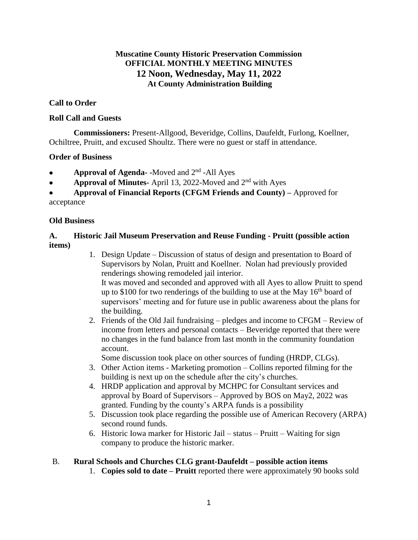## **Muscatine County Historic Preservation Commission OFFICIAL MONTHLY MEETING MINUTES 12 Noon, Wednesday, May 11, 2022 At County Administration Building**

## **Call to Order**

### **Roll Call and Guests**

**Commissioners:** Present-Allgood, Beveridge, Collins, Daufeldt, Furlong, Koellner, Ochiltree, Pruitt, and excused Shoultz. There were no guest or staff in attendance.

### **Order of Business**

- **Approval of Agenda-** Moved and 2<sup>nd</sup> All Ayes
- **Approval of Minutes-** April 13, 2022-Moved and 2<sup>nd</sup> with Ayes

• **Approval of Financial Reports (CFGM Friends and County) –** Approved for acceptance

#### **Old Business**

## **A. Historic Jail Museum Preservation and Reuse Funding - Pruitt (possible action items)**

- 1. Design Update Discussion of status of design and presentation to Board of Supervisors by Nolan, Pruitt and Koellner. Nolan had previously provided renderings showing remodeled jail interior. It was moved and seconded and approved with all Ayes to allow Pruitt to spend up to \$100 for two renderings of the building to use at the May 16<sup>th</sup> board of supervisors' meeting and for future use in public awareness about the plans for the building.
- 2. Friends of the Old Jail fundraising pledges and income to CFGM Review of income from letters and personal contacts – Beveridge reported that there were no changes in the fund balance from last month in the community foundation account.

Some discussion took place on other sources of funding (HRDP, CLGs).

- 3. Other Action items Marketing promotion Collins reported filming for the building is next up on the schedule after the city's churches.
- 4. HRDP application and approval by MCHPC for Consultant services and approval by Board of Supervisors – Approved by BOS on May2, 2022 was granted. Funding by the county's ARPA funds is a possibility
- 5. Discussion took place regarding the possible use of American Recovery (ARPA) second round funds.
- 6. Historic Iowa marker for Historic Jail status Pruitt Waiting for sign company to produce the historic marker.

## B. **Rural Schools and Churches CLG grant-Daufeldt – possible action items**

1. **Copies sold to date – Pruitt** reported there were approximately 90 books sold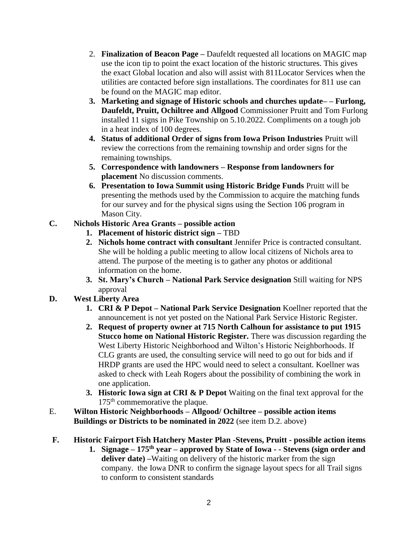- 2. **Finalization of Beacon Page –** Daufeldt requested all locations on MAGIC map use the icon tip to point the exact location of the historic structures. This gives the exact Global location and also will assist with 811Locator Services when the utilities are contacted before sign installations. The coordinates for 811 use can be found on the MAGIC map editor.
- **3. Marketing and signage of Historic schools and churches update– – Furlong, Daufeldt, Pruitt, Ochiltree and Allgood** Commissioner Pruitt and Tom Furlong installed 11 signs in Pike Township on 5.10.2022. Compliments on a tough job in a heat index of 100 degrees.
- **4. Status of additional Order of signs from Iowa Prison Industries** Pruitt will review the corrections from the remaining township and order signs for the remaining townships.
- **5. Correspondence with landowners – Response from landowners for placement** No discussion comments.
- **6. Presentation to Iowa Summit using Historic Bridge Funds** Pruitt will be presenting the methods used by the Commission to acquire the matching funds for our survey and for the physical signs using the Section 106 program in Mason City.
- **C. Nichols Historic Area Grants – possible action**
	- **1. Placement of historic district sign –** TBD
	- **2. Nichols home contract with consultant** Jennifer Price is contracted consultant. She will be holding a public meeting to allow local citizens of Nichols area to attend. The purpose of the meeting is to gather any photos or additional information on the home.
	- **3. St. Mary's Church – National Park Service designation** Still waiting for NPS approval

# **D. West Liberty Area**

- **1. CRI & P Depot – National Park Service Designation** Koellner reported that the announcement is not yet posted on the National Park Service Historic Register.
- **2. Request of property owner at 715 North Calhoun for assistance to put 1915 Stucco home on National Historic Register.** There was discussion regarding the West Liberty Historic Neighborhood and Wilton's Historic Neighborhoods. If CLG grants are used, the consulting service will need to go out for bids and if HRDP grants are used the HPC would need to select a consultant. Koellner was asked to check with Leah Rogers about the possibility of combining the work in one application.
- **3. Historic Iowa sign at CRI & P Depot** Waiting on the final text approval for the  $175<sup>th</sup>$  commemorative the plaque.
- E. **Wilton Historic Neighborhoods – Allgood/ Ochiltree – possible action items Buildings or Districts to be nominated in 2022** (see item D.2. above)

# **F. Historic Fairport Fish Hatchery Master Plan -Stevens, Pruitt - possible action items**

**1. Signage – 175th year – approved by State of Iowa - - Stevens (sign order and deliver date) –**Waiting on delivery of the historic marker from the sign company. the Iowa DNR to confirm the signage layout specs for all Trail signs to conform to consistent standards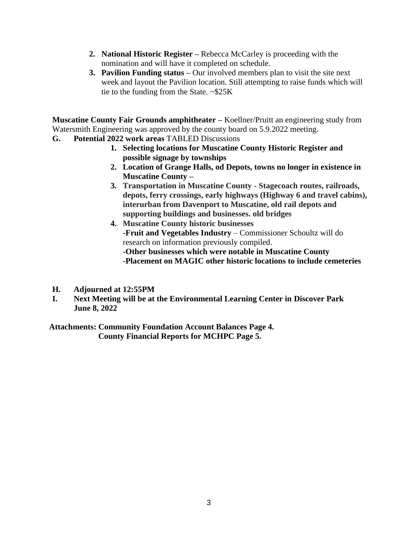- **2. National Historic Register –** Rebecca McCarley is proceeding with the nomination and will have it completed on schedule.
- **3. Pavilion Funding status –** Our involved members plan to visit the site next week and layout the Pavilion location. Still attempting to raise funds which will tie to the funding from the State.  $\sim$ \$25K

**Muscatine County Fair Grounds amphitheater –** Koellner/Pruitt an engineering study from Watersmith Engineering was approved by the county board on 5.9.2022 meeting.

- **G. Potential 2022 work areas** TABLED Discussions
	- **1. Selecting locations for Muscatine County Historic Register and possible signage by townships**
	- **2. Location of Grange Halls, od Depots, towns no longer in existence in Muscatine County –**
	- **3. Transportation in Muscatine County - Stagecoach routes, railroads, depots, ferry crossings, early highways (Highway 6 and travel cabins), interurban from Davenport to Muscatine, old rail depots and supporting buildings and businesses. old bridges**
	- **4. Muscatine County historic businesses -Fruit and Vegetables Industry** – Commissioner Schoultz will do research on information previously compiled. **-Other businesses which were notable in Muscatine County -Placement on MAGIC other historic locations to include cemeteries**
- **H. Adjourned at 12:55PM**
- **I. Next Meeting will be at the Environmental Learning Center in Discover Park June 8, 2022**

**Attachments: Community Foundation Account Balances Page 4. County Financial Reports for MCHPC Page 5.**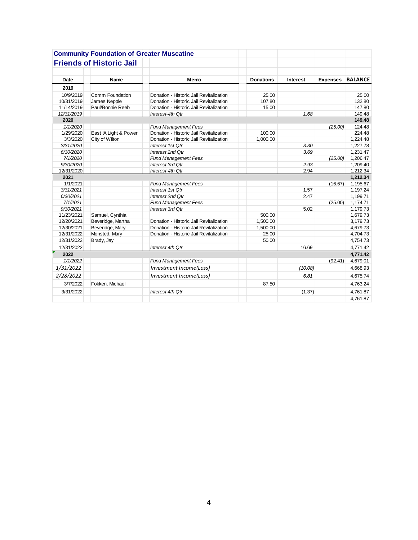|            | <b>Community Foundation of Greater Muscatine</b> |                                         |                  |                 |                 |                |
|------------|--------------------------------------------------|-----------------------------------------|------------------|-----------------|-----------------|----------------|
|            | <b>Friends of Historic Jail</b>                  |                                         |                  |                 |                 |                |
| Date       | Name                                             | Memo                                    | <b>Donations</b> | <b>Interest</b> | <b>Expenses</b> | <b>BALANCE</b> |
| 2019       |                                                  |                                         |                  |                 |                 |                |
| 10/9/2019  | Comm Foundation                                  | Donation - Historic Jail Revitalization | 25.00            |                 |                 | 25.00          |
| 10/31/2019 | James Nepple                                     | Donation - Historic Jail Revitalization | 107.80           |                 |                 | 132.80         |
| 11/14/2019 | Paul/Bonnie Reeb                                 | Donation - Historic Jail Revitalization | 15.00            |                 |                 | 147.80         |
| 12/31/2019 |                                                  | Interest-4th Qtr                        |                  | 1.68            |                 | 149.48         |
| 2020       |                                                  |                                         |                  |                 |                 | 149.48         |
| 1/1/2020   |                                                  | <b>Fund Management Fees</b>             |                  |                 | (25.00)         | 124.48         |
| 1/29/2020  | East IA Light & Power                            | Donation - Historic Jail Revitalization | 100.00           |                 |                 | 224.48         |
| 3/3/2020   | City of Wilton                                   | Donation - Historic Jail Revitalization | 1,000.00         |                 |                 | 1,224.48       |
| 3/31/2020  |                                                  | Interest 1st Qtr                        |                  | 3.30            |                 | 1,227.78       |
| 6/30/2020  |                                                  | Interest 2nd Qtr                        |                  | 3.69            |                 | 1,231.47       |
| 7/1/2020   |                                                  | <b>Fund Management Fees</b>             |                  |                 | (25.00)         | 1,206.47       |
| 9/30/2020  |                                                  | Interest 3rd Qtr                        |                  | 2.93            |                 | 1,209.40       |
| 12/31/2020 |                                                  | Interest-4th Qtr                        |                  | 2.94            |                 | 1,212.34       |
| 2021       |                                                  |                                         |                  |                 |                 | 1,212.34       |
| 1/1/2021   |                                                  | <b>Fund Management Fees</b>             |                  |                 | (16.67)         | 1,195.67       |
| 3/31/2021  |                                                  | Interest 1st Qtr                        |                  | 1.57            |                 | 1,197.24       |
| 6/30/2021  |                                                  | Interest 2nd Otr                        |                  | 2.47            |                 | 1,199.71       |
| 7/1/2021   |                                                  | <b>Fund Management Fees</b>             |                  |                 | (25.00)         | 1,174.71       |
| 9/30/2021  |                                                  | Interest 3rd Qtr                        |                  | 5.02            |                 | 1,179.73       |
| 11/23/2021 | Samuel, Cynthia                                  |                                         | 500.00           |                 |                 | 1,679.73       |
| 12/20/2021 | Beveridge, Martha                                | Donation - Historic Jail Revitalization | 1,500.00         |                 |                 | 3,179.73       |
| 12/30/2021 | Beveridge, Mary                                  | Donation - Historic Jail Revitalization | 1,500.00         |                 |                 | 4,679.73       |
| 12/31/2022 | Monsted, Mary                                    | Donation - Historic Jail Revitalization | 25.00            |                 |                 | 4,704.73       |
| 12/31/2022 | Brady, Jay                                       |                                         | 50.00            |                 |                 | 4,754.73       |
| 12/31/2022 |                                                  | Interest 4th Qtr                        |                  | 16.69           |                 | 4,771.42       |
| 2022       |                                                  |                                         |                  |                 |                 | 4,771.42       |
| 1/1/2022   |                                                  | <b>Fund Management Fees</b>             |                  |                 | (92.41)         | 4,679.01       |
| 1/31/2022  |                                                  | Investment Income(Loss)                 |                  | (10.08)         |                 | 4,668.93       |
| 2/28/2022  |                                                  | Investment Income(Loss)                 |                  | 6.81            |                 | 4,675.74       |
| 3/7/2022   | Fokken, Michael                                  |                                         | 87.50            |                 |                 | 4,763.24       |
| 3/31/2022  |                                                  | Interest 4th Qtr                        |                  | (1.37)          |                 | 4,761.87       |
|            |                                                  |                                         |                  |                 |                 | 4,761.87       |